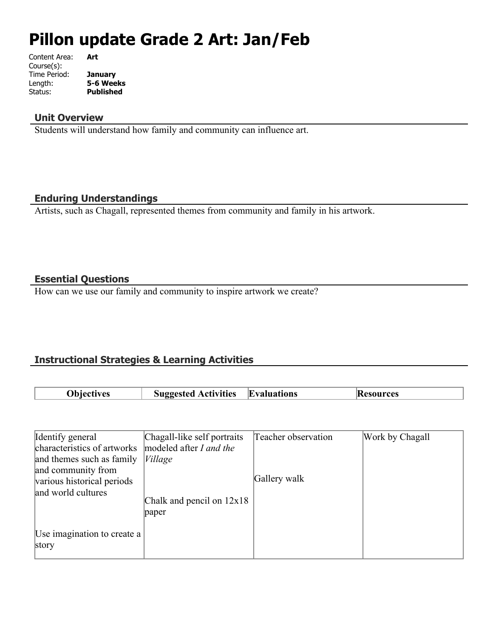# **Pillon update Grade 2 Art: Jan/Feb**

| Content Area: | Art              |
|---------------|------------------|
| Course(s):    |                  |
| Time Period:  | January          |
| Length:       | 5-6 Weeks        |
| Status:       | <b>Published</b> |
|               |                  |

#### **Unit Overview**

Students will understand how family and community can influence art.

## **Enduring Understandings**

Artists, such as Chagall, represented themes from community and family in his artwork.

## **Essential Questions**

How can we use our family and community to inspire artwork we create?

## **Instructional Strategies & Learning Activities**

| ' )hiect | <b>Activities</b> | $\mathbf{F}$ |  |
|----------|-------------------|--------------|--|
| πvoc     | АНО"              | Evaluations  |  |

| Identify general                                                               | Chagall-like self portraits           | Teacher observation | Work by Chagall |
|--------------------------------------------------------------------------------|---------------------------------------|---------------------|-----------------|
| characteristics of artworks<br>and themes such as family<br>and community from | modeled after I and the<br>$V$ illage |                     |                 |
| various historical periods<br>and world cultures                               | Chalk and pencil on $12x18$<br>paper  | Gallery walk        |                 |
| Use imagination to create a<br>story                                           |                                       |                     |                 |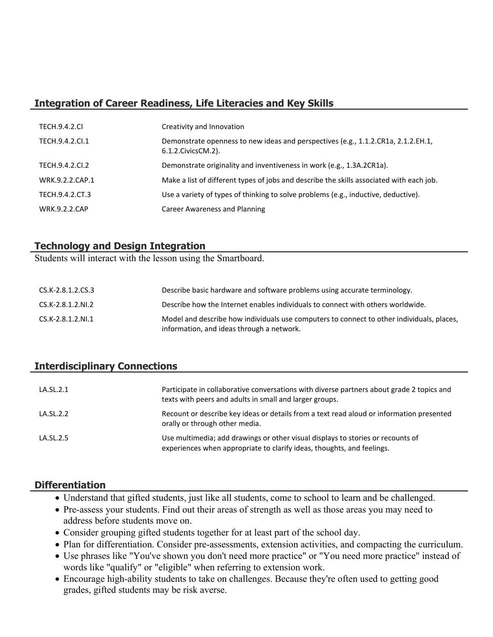## **Integration of Career Readiness, Life Literacies and Key Skills**

| <b>TECH.9.4.2.CI</b> | Creativity and Innovation                                                                                  |
|----------------------|------------------------------------------------------------------------------------------------------------|
| TECH.9.4.2.CI.1      | Demonstrate openness to new ideas and perspectives (e.g., 1.1.2.CR1a, 2.1.2.EH.1,<br>6.1.2. Civics CM. 2). |
| TECH.9.4.2.CI.2      | Demonstrate originality and inventiveness in work (e.g., 1.3A.2CR1a).                                      |
| WRK.9.2.2.CAP.1      | Make a list of different types of jobs and describe the skills associated with each job.                   |
| TECH.9.4.2.CT.3      | Use a variety of types of thinking to solve problems (e.g., inductive, deductive).                         |
| <b>WRK.9.2.2.CAP</b> | Career Awareness and Planning                                                                              |

## **Technology and Design Integration**

Students will interact with the lesson using the Smartboard.

| CS.K-2.8.1.2.CS.3 | Describe basic hardware and software problems using accurate terminology.                                                              |
|-------------------|----------------------------------------------------------------------------------------------------------------------------------------|
| CS.K-2.8.1.2.NI.2 | Describe how the Internet enables individuals to connect with others worldwide.                                                        |
| CS.K-2.8.1.2.NI.1 | Model and describe how individuals use computers to connect to other individuals, places,<br>information, and ideas through a network. |

## **Interdisciplinary Connections**

| LA.SL.2.1 | Participate in collaborative conversations with diverse partners about grade 2 topics and<br>texts with peers and adults in small and larger groups.      |
|-----------|-----------------------------------------------------------------------------------------------------------------------------------------------------------|
| LA.SL.2.2 | Recount or describe key ideas or details from a text read aloud or information presented<br>orally or through other media.                                |
| LA.SL.2.5 | Use multimedia; add drawings or other visual displays to stories or recounts of<br>experiences when appropriate to clarify ideas, thoughts, and feelings. |

#### **Differentiation**

- Understand that gifted students, just like all students, come to school to learn and be challenged.
- Pre-assess your students. Find out their areas of strength as well as those areas you may need to address before students move on.
- Consider grouping gifted students together for at least part of the school day.
- Plan for differentiation. Consider pre-assessments, extension activities, and compacting the curriculum.
- Use phrases like "You've shown you don't need more practice" or "You need more practice" instead of words like "qualify" or "eligible" when referring to extension work.
- Encourage high-ability students to take on challenges. Because they're often used to getting good grades, gifted students may be risk averse.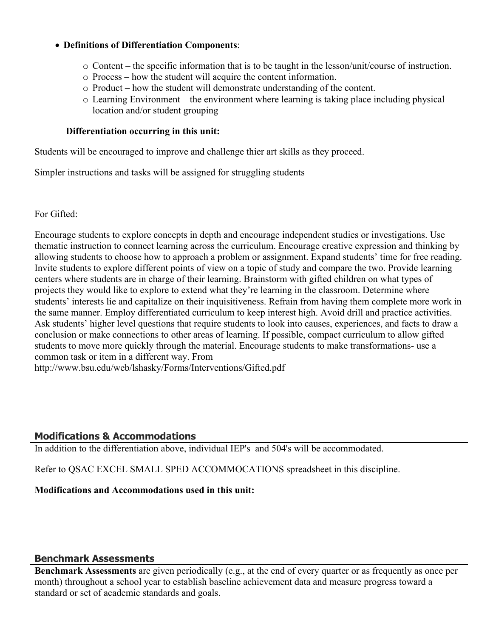#### **Definitions of Differentiation Components**:

- o Content the specific information that is to be taught in the lesson/unit/course of instruction.
- o Process how the student will acquire the content information.
- o Product how the student will demonstrate understanding of the content.
- o Learning Environment the environment where learning is taking place including physical location and/or student grouping

#### **Differentiation occurring in this unit:**

Students will be encouraged to improve and challenge thier art skills as they proceed.

Simpler instructions and tasks will be assigned for struggling students

For Gifted:

Encourage students to explore concepts in depth and encourage independent studies or investigations. Use thematic instruction to connect learning across the curriculum. Encourage creative expression and thinking by allowing students to choose how to approach a problem or assignment. Expand students' time for free reading. Invite students to explore different points of view on a topic of study and compare the two. Provide learning centers where students are in charge of their learning. Brainstorm with gifted children on what types of projects they would like to explore to extend what they're learning in the classroom. Determine where students' interests lie and capitalize on their inquisitiveness. Refrain from having them complete more work in the same manner. Employ differentiated curriculum to keep interest high. Avoid drill and practice activities. Ask students' higher level questions that require students to look into causes, experiences, and facts to draw a conclusion or make connections to other areas of learning. If possible, compact curriculum to allow gifted students to move more quickly through the material. Encourage students to make transformations- use a common task or item in a different way. From

http://www.bsu.edu/web/lshasky/Forms/Interventions/Gifted.pdf

#### **Modifications & Accommodations**

In addition to the differentiation above, individual IEP's and 504's will be accommodated.

Refer to QSAC EXCEL SMALL SPED ACCOMMOCATIONS spreadsheet in this discipline.

#### **Modifications and Accommodations used in this unit:**

#### **Benchmark Assessments**

**Benchmark Assessments** are given periodically (e.g., at the end of every quarter or as frequently as once per month) throughout a school year to establish baseline achievement data and measure progress toward a standard or set of academic standards and goals.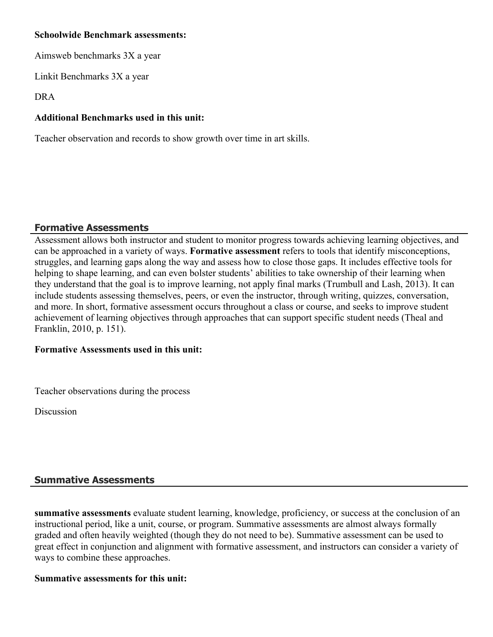#### **Schoolwide Benchmark assessments:**

Aimsweb benchmarks 3X a year

Linkit Benchmarks 3X a year

DRA

## **Additional Benchmarks used in this unit:**

Teacher observation and records to show growth over time in art skills.

## **Formative Assessments**

Assessment allows both instructor and student to monitor progress towards achieving learning objectives, and can be approached in a variety of ways. **Formative assessment** refers to tools that identify misconceptions, struggles, and learning gaps along the way and assess how to close those gaps. It includes effective tools for helping to shape learning, and can even bolster students' abilities to take ownership of their learning when they understand that the goal is to improve learning, not apply final marks (Trumbull and Lash, 2013). It can include students assessing themselves, peers, or even the instructor, through writing, quizzes, conversation, and more. In short, formative assessment occurs throughout a class or course, and seeks to improve student achievement of learning objectives through approaches that can support specific student needs (Theal and Franklin, 2010, p. 151).

## **Formative Assessments used in this unit:**

Teacher observations during the process

Discussion

# **Summative Assessments**

**summative assessments** evaluate student learning, knowledge, proficiency, or success at the conclusion of an instructional period, like a unit, course, or program. Summative assessments are almost always formally graded and often heavily weighted (though they do not need to be). Summative assessment can be used to great effect in conjunction and alignment with formative assessment, and instructors can consider a variety of ways to combine these approaches.

## **Summative assessments for this unit:**